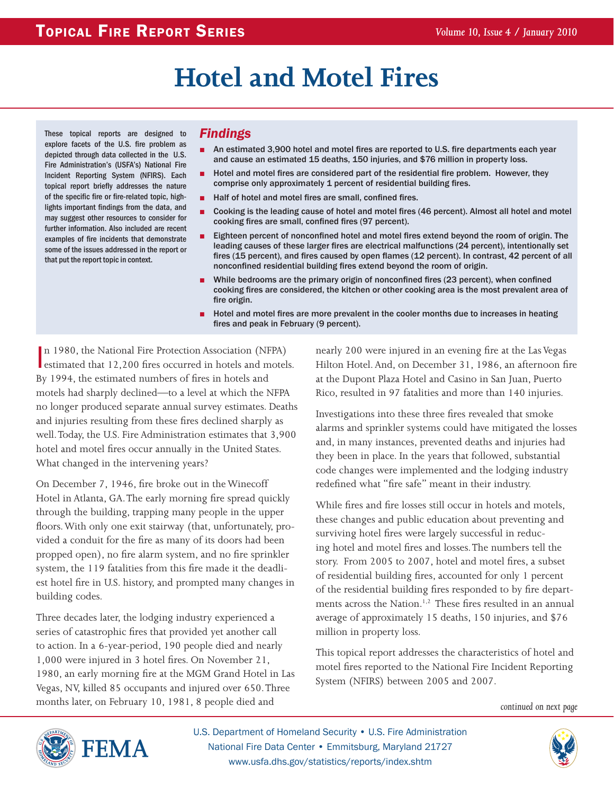# **Hotel and Motel Fires**

These topical reports are designed to explore facets of the U.S. fire problem as depicted through data collected in the U.S. Fire Administration's (USFA's) National Fire Incident Reporting System (NFIRS). Each topical report briefly addresses the nature of the specific fire or fire-related topic, highlights important findings from the data, and may suggest other resources to consider for further information. Also included are recent examples of fire incidents that demonstrate some of the issues addressed in the report or that put the report topic in context.

#### *Findings*

- An estimated 3,900 hotel and motel fires are reported to U.S. fire departments each year and cause an estimated 15 deaths, 150 injuries, and \$76 million in property loss.
- Hotel and motel fires are considered part of the residential fire problem. However, they comprise only approximately 1 percent of residential building fires.
- Half of hotel and motel fires are small, confined fires.
- Cooking is the leading cause of hotel and motel fires (46 percent). Almost all hotel and motel cooking fires are small, confined fires (97 percent).
- Eighteen percent of nonconfined hotel and motel fires extend beyond the room of origin. The leading causes of these larger fires are electrical malfunctions (24 percent), intentionally set fires (15 percent), and fires caused by open flames (12 percent). In contrast, 42 percent of all nonconfined residential building fires extend beyond the room of origin.
- While bedrooms are the primary origin of nonconfined fires (23 percent), when confined cooking fires are considered, the kitchen or other cooking area is the most prevalent area of fire origin.
- Hotel and motel fires are more prevalent in the cooler months due to increases in heating fires and peak in February (9 percent).

In 1980, the National Fire Protection Association (NFPA)<br>estimated that 12,200 fires occurred in hotels and motels. n 1980, the National Fire Protection Association (NFPA) By 1994, the estimated numbers of fires in hotels and motels had sharply declined—to a level at which the NFPA no longer produced separate annual survey estimates. Deaths and injuries resulting from these fires declined sharply as well. Today, the U.S. Fire Administration estimates that 3,900 hotel and motel fires occur annually in the United States. What changed in the intervening years?

On December 7, 1946, fire broke out in the Winecoff Hotel in Atlanta, GA. The early morning fire spread quickly through the building, trapping many people in the upper floors. With only one exit stairway (that, unfortunately, provided a conduit for the fire as many of its doors had been propped open), no fire alarm system, and no fire sprinkler system, the 119 fatalities from this fire made it the deadliest hotel fire in U.S. history, and prompted many changes in building codes.

Three decades later, the lodging industry experienced a series of catastrophic fires that provided yet another call to action. In a 6-year-period, 190 people died and nearly 1,000 were injured in 3 hotel fires. On November 21, 1980, an early morning fire at the MGM Grand Hotel in Las Vegas, NV, killed 85 occupants and injured over 650. Three months later, on February 10, 1981, 8 people died and

nearly 200 were injured in an evening fire at the Las Vegas Hilton Hotel. And, on December 31, 1986, an afternoon fire at the Dupont Plaza Hotel and Casino in San Juan, Puerto Rico, resulted in 97 fatalities and more than 140 injuries.

Investigations into these three fires revealed that smoke alarms and sprinkler systems could have mitigated the losses and, in many instances, prevented deaths and injuries had they been in place. In the years that followed, substantial code changes were implemented and the lodging industry redefined what "fire safe" meant in their industry.

While fires and fire losses still occur in hotels and motels, these changes and public education about preventing and surviving hotel fires were largely successful in reducing hotel and motel fires and losses. The numbers tell the story. From 2005 to 2007, hotel and motel fires, a subset of residential building fires, accounted for only 1 percent of the residential building fires responded to by fire departments across the Nation.<sup>1,2</sup> These fires resulted in an annual average of approximately 15 deaths, 150 injuries, and \$76 million in property loss.

This topical report addresses the characteristics of hotel and motel fires reported to the National Fire Incident Reporting System (NFIRS) between 2005 and 2007.

*continued on next page*



U.S. Department of Homeland Security • U.S. Fire Administration National Fire Data Center • Emmitsburg, Maryland 21727 www.usfa.dhs.gov/statistics/reports/index.shtm

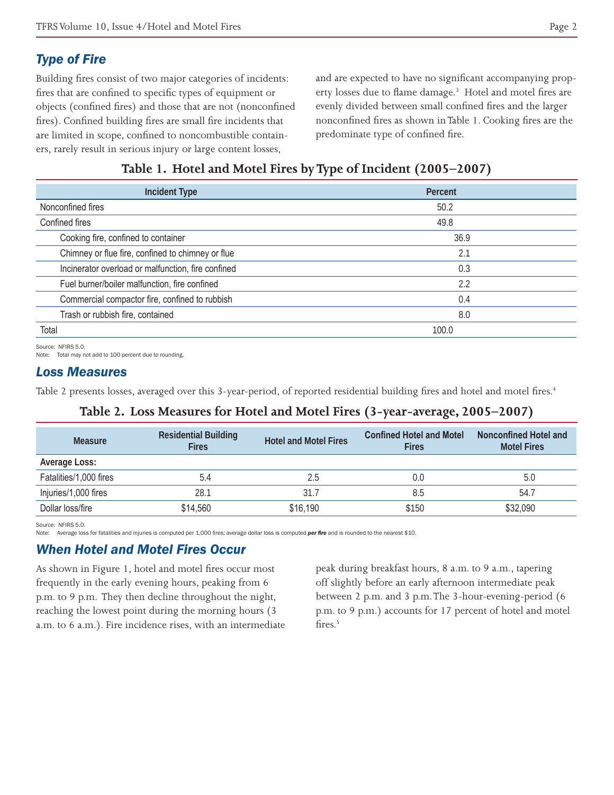# *Type of Fire*

Building fires consist of two major categories of incidents: fires that are confined to specific types of equipment or objects (confined fires) and those that are not (nonconfined fires). Confined building fires are small fire incidents that are limited in scope, confined to noncombustible containers, rarely result in serious injury or large content losses,

and are expected to have no significant accompanying property losses due to flame damage.<sup>3</sup> Hotel and motel fires are evenly divided between small confined fires and the larger nonconfined fires as shown in Table 1. Cooking fires are the predominate type of confined fire.

## **Table 1. Hotel and Motel Fires by Type of Incident (2005–2007)**

| <b>Incident Type</b>                                  | Percent |  |
|-------------------------------------------------------|---------|--|
| Nonconfined fires                                     | 50.2    |  |
| Confined fires                                        | 49.8    |  |
| Cooking fire, confined to container                   | 36.9    |  |
| Chimney or flue fire, confined to chimney or flue     | 2.1     |  |
| Incinerator overload or malfunction, fire confined    | 0.3     |  |
| Fuel burner/boiler malfunction, fire confined<br>2.2  |         |  |
| Commercial compactor fire, confined to rubbish<br>0.4 |         |  |
| Trash or rubbish fire, contained<br>8.0               |         |  |
| Total                                                 | 100.0   |  |

Source: NFIRS 5.0.

Note: Total may not add to 100 percent due to rounding.

#### *Loss Measures*

Table 2 presents losses, averaged over this 3-year-period, of reported residential building fires and hotel and motel fires.<sup>4</sup>

#### **Table 2. Loss Measures for Hotel and Motel Fires (3-year-average, 2005–2007)**

| <b>Measure</b>         | <b>Residential Building</b><br><b>Fires</b> | <b>Hotel and Motel Fires</b> | <b>Confined Hotel and Motel</b><br><b>Fires</b> | Nonconfined Hotel and<br><b>Motel Fires</b> |
|------------------------|---------------------------------------------|------------------------------|-------------------------------------------------|---------------------------------------------|
| Average Loss:          |                                             |                              |                                                 |                                             |
| Fatalities/1,000 fires | 5.4                                         | 2.5                          | 0.0                                             | 5.0                                         |
| Injuries/1,000 fires   | 28.1                                        | 31.7                         | 8.5                                             | 54.7                                        |
| Dollar loss/fire       | \$14,560                                    | \$16,190                     | \$150                                           | \$32,090                                    |

Source: NFIRS 5.0

Note: Average loss for fatalities and injuries is computed per 1,000 fires; average dollar loss is computed *per fire* and is rounded to the nearest \$10.

#### *When Hotel and Motel Fires Occur*

As shown in Figure 1, hotel and motel fires occur most frequently in the early evening hours, peaking from 6 p.m. to 9 p.m. They then decline throughout the night, reaching the lowest point during the morning hours (3 a.m. to 6 a.m.). Fire incidence rises, with an intermediate peak during breakfast hours, 8 a.m. to 9 a.m., tapering off slightly before an early afternoon intermediate peak between 2 p.m. and 3 p.m. The 3-hour-evening-period (6 p.m. to 9 p.m.) accounts for 17 percent of hotel and motel fires.<sup>5</sup>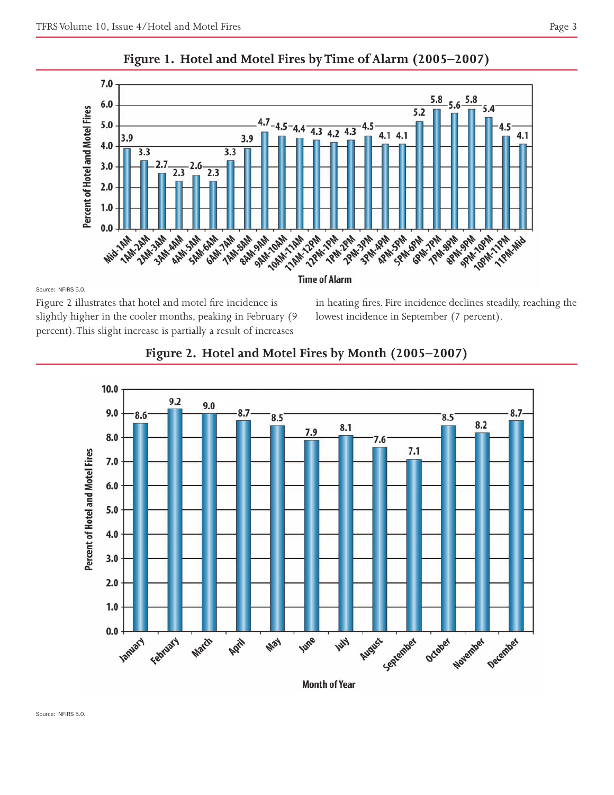



Source: NFIRS 5.0.

Figure 2 illustrates that hotel and motel fire incidence is slightly higher in the cooler months, peaking in February (9 percent). This slight increase is partially a result of increases

in heating fires. Fire incidence declines steadily, reaching the lowest incidence in September (7 percent).



## **Figure 2. Hotel and Motel Fires by Month (2005–2007)**

**Month of Year**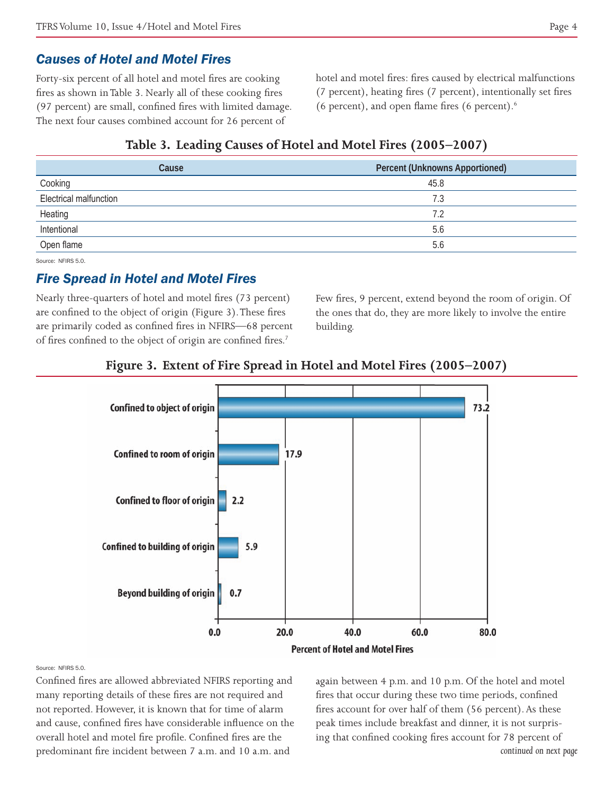#### *Causes of Hotel and Motel Fires*

Forty-six percent of all hotel and motel fires are cooking fires as shown in Table 3. Nearly all of these cooking fires (97 percent) are small, confined fires with limited damage. The next four causes combined account for 26 percent of

hotel and motel fires: fires caused by electrical malfunctions (7 percent), heating fires (7 percent), intentionally set fires (6 percent), and open flame fires (6 percent). $6$ 

#### **Table 3. Leading Causes of Hotel and Motel Fires (2005–2007)**

| Cause                  | <b>Percent (Unknowns Apportioned)</b> |
|------------------------|---------------------------------------|
| Cooking                | 45.8                                  |
| Electrical malfunction | 7.3                                   |
| Heating                | 7.2                                   |
| Intentional            | 5.6                                   |
| Open flame             | 5.6                                   |

Source: NEIRS 5.0.

#### *Fire Spread in Hotel and Motel Fires*

Nearly three-quarters of hotel and motel fires (73 percent) are confined to the object of origin (Figure 3). These fires are primarily coded as confined fires in NFIRS—68 percent of fires confined to the object of origin are confined fires.<sup>7</sup>

Few fires, 9 percent, extend beyond the room of origin. Of the ones that do, they are more likely to involve the entire building.





Source: NFIRS 5.0.

Confined fires are allowed abbreviated NFIRS reporting and many reporting details of these fires are not required and not reported. However, it is known that for time of alarm and cause, confined fires have considerable influence on the overall hotel and motel fire profile. Confined fires are the predominant fire incident between 7 a.m. and 10 a.m. and

again between 4 p.m. and 10 p.m. Of the hotel and motel fires that occur during these two time periods, confined fires account for over half of them (56 percent). As these peak times include breakfast and dinner, it is not surprising that confined cooking fires account for 78 percent of *continued on next page*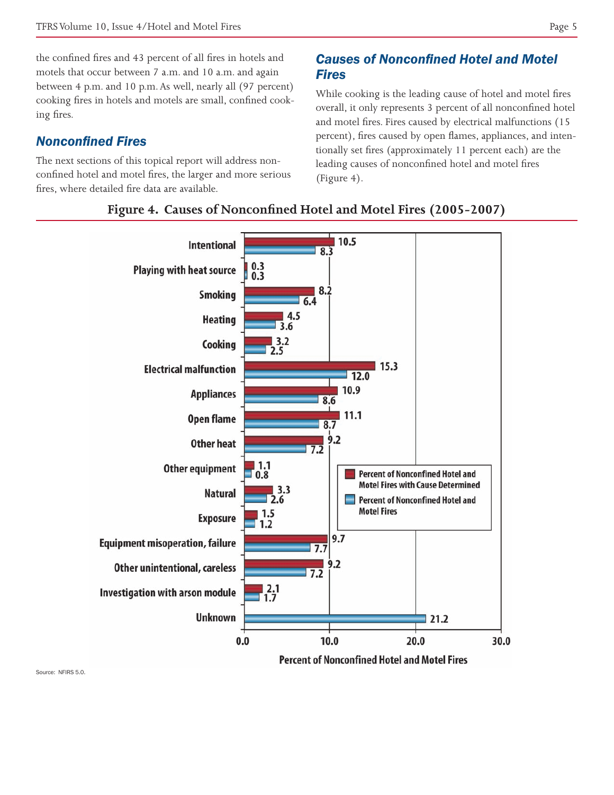the confined fires and 43 percent of all fires in hotels and motels that occur between 7 a.m. and 10 a.m. and again between 4 p.m. and 10 p.m. As well, nearly all (97 percent) cooking fires in hotels and motels are small, confined cooking fires.

## *Nonconfined Fires*

The next sections of this topical report will address nonconfined hotel and motel fires, the larger and more serious fires, where detailed fire data are available.

# *Causes of Nonconfined Hotel and Motel Fires*

While cooking is the leading cause of hotel and motel fires overall, it only represents 3 percent of all nonconfined hotel and motel fires. Fires caused by electrical malfunctions (15 percent), fires caused by open flames, appliances, and intentionally set fires (approximately 11 percent each) are the leading causes of nonconfined hotel and motel fires (Figure 4).



#### **Figure 4. Causes of Nonconfined Hotel and Motel Fires (2005-2007)**

Source: NEIRS 5.0.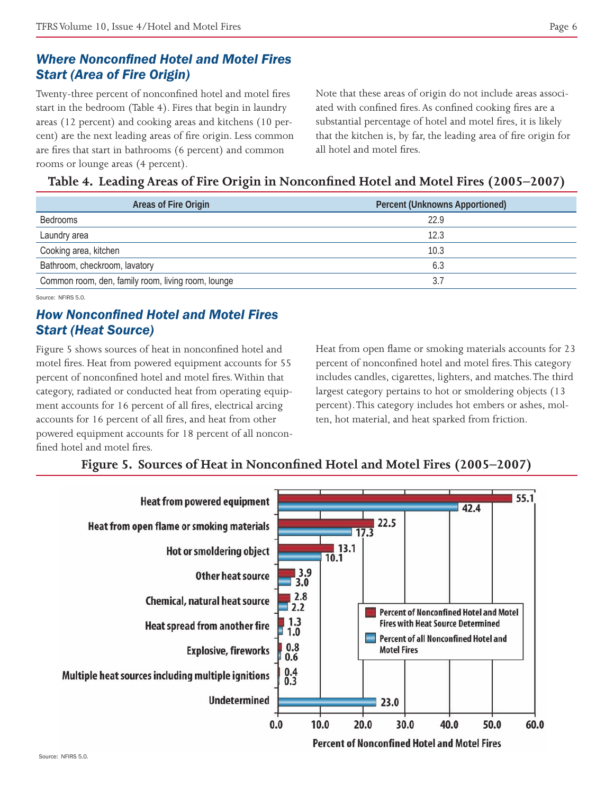# *Where Nonconfined Hotel and Motel Fires Start (Area of Fire Origin)*

Twenty-three percent of nonconfined hotel and motel fires start in the bedroom (Table 4). Fires that begin in laundry areas (12 percent) and cooking areas and kitchens (10 percent) are the next leading areas of fire origin. Less common are fires that start in bathrooms (6 percent) and common rooms or lounge areas (4 percent).

Note that these areas of origin do not include areas associated with confined fires. As confined cooking fires are a substantial percentage of hotel and motel fires, it is likely that the kitchen is, by far, the leading area of fire origin for all hotel and motel fires.

**Table 4. Leading Areas of Fire Origin in Nonconfined Hotel and Motel Fires (2005–2007)**

| Areas of Fire Origin                               | <b>Percent (Unknowns Apportioned)</b> |  |
|----------------------------------------------------|---------------------------------------|--|
| <b>Bedrooms</b>                                    | 229                                   |  |
| Laundry area                                       | 12.3                                  |  |
| Cooking area, kitchen                              | 10.3                                  |  |
| Bathroom, checkroom, lavatory                      | 6.3                                   |  |
| Common room, den, family room, living room, lounge |                                       |  |

Source: NEIRS 5.0.

# *How Nonconfined Hotel and Motel Fires Start (Heat Source)*

Figure 5 shows sources of heat in nonconfined hotel and motel fires. Heat from powered equipment accounts for 55 percent of nonconfined hotel and motel fires. Within that category, radiated or conducted heat from operating equipment accounts for 16 percent of all fires, electrical arcing accounts for 16 percent of all fires, and heat from other powered equipment accounts for 18 percent of all nonconfined hotel and motel fires.

Heat from open flame or smoking materials accounts for 23 percent of nonconfined hotel and motel fires. This category includes candles, cigarettes, lighters, and matches. The third largest category pertains to hot or smoldering objects (13 percent). This category includes hot embers or ashes, molten, hot material, and heat sparked from friction.

## **Figure 5. Sources of Heat in Nonconfined Hotel and Motel Fires (2005–2007)**

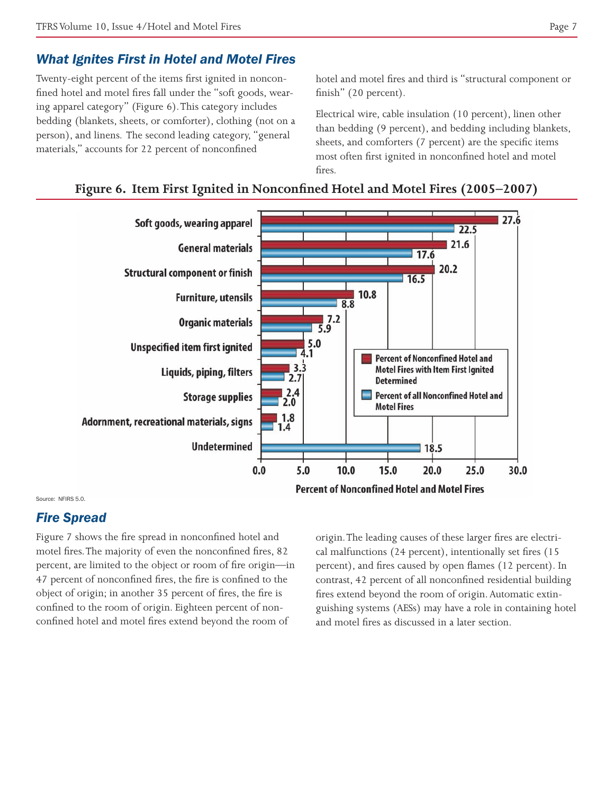## *What Ignites First in Hotel and Motel Fires*

Twenty-eight percent of the items first ignited in nonconfined hotel and motel fires fall under the "soft goods, wearing apparel category" (Figure 6). This category includes bedding (blankets, sheets, or comforter), clothing (not on a person), and linens. The second leading category, "general materials," accounts for 22 percent of nonconfined

hotel and motel fires and third is "structural component or finish" (20 percent).

Electrical wire, cable insulation (10 percent), linen other than bedding (9 percent), and bedding including blankets, sheets, and comforters (7 percent) are the specific items most often first ignited in nonconfined hotel and motel fires.





Source: NFIRS 5.0.

#### *Fire Spread*

Figure 7 shows the fire spread in nonconfined hotel and motel fires. The majority of even the nonconfined fires, 82 percent, are limited to the object or room of fire origin—in 47 percent of nonconfined fires, the fire is confined to the object of origin; in another 35 percent of fires, the fire is confined to the room of origin. Eighteen percent of nonconfined hotel and motel fires extend beyond the room of

origin. The leading causes of these larger fires are electrical malfunctions (24 percent), intentionally set fires (15 percent), and fires caused by open flames (12 percent). In contrast, 42 percent of all nonconfined residential building fires extend beyond the room of origin. Automatic extinguishing systems (AESs) may have a role in containing hotel and motel fires as discussed in a later section.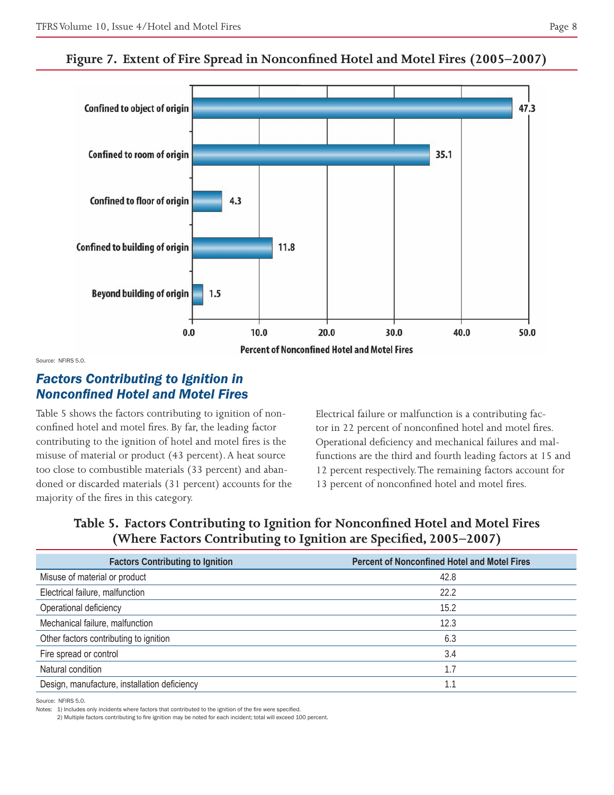47.3 **Confined to object of origin** 





Source: NFIRS 5.0.

## *Factors Contributing to Ignition in Nonconfined Hotel and Motel Fires*

Table 5 shows the factors contributing to ignition of nonconfined hotel and motel fires. By far, the leading factor contributing to the ignition of hotel and motel fires is the misuse of material or product (43 percent). A heat source too close to combustible materials (33 percent) and abandoned or discarded materials (31 percent) accounts for the majority of the fires in this category.

Electrical failure or malfunction is a contributing factor in 22 percent of nonconfined hotel and motel fires. Operational deficiency and mechanical failures and malfunctions are the third and fourth leading factors at 15 and 12 percent respectively. The remaining factors account for 13 percent of nonconfined hotel and motel fires.

**Table 5. Factors Contributing to Ignition for Nonconfined Hotel and Motel Fires (Where Factors Contributing to Ignition are Specified, 2005–2007)**

| <b>Factors Contributing to Ignition</b>      | <b>Percent of Nonconfined Hotel and Motel Fires</b> |
|----------------------------------------------|-----------------------------------------------------|
| Misuse of material or product                | 42.8                                                |
| Electrical failure, malfunction              | 22.2                                                |
| Operational deficiency                       | 15.2                                                |
| Mechanical failure, malfunction              | 12.3                                                |
| Other factors contributing to ignition       | 6.3                                                 |
| Fire spread or control                       | 3.4                                                 |
| Natural condition                            | 1.7                                                 |
| Design, manufacture, installation deficiency | 1.1                                                 |
|                                              |                                                     |

Source: NEIRS 5.0.

Notes: 1) Includes only incidents where factors that contributed to the ignition of the fire were specified.

2) Multiple factors contributing to fire ignition may be noted for each incident; total will exceed 100 percent.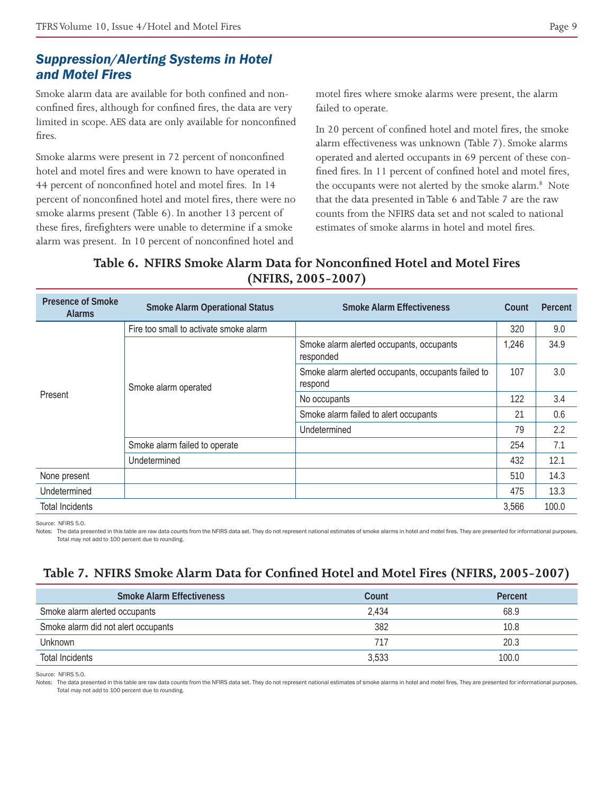# *Suppression/Alerting Systems in Hotel and Motel Fires*

Smoke alarm data are available for both confined and nonconfined fires, although for confined fires, the data are very limited in scope. AES data are only available for nonconfined fires.

Smoke alarms were present in 72 percent of nonconfined hotel and motel fires and were known to have operated in 44 percent of nonconfined hotel and motel fires. In 14 percent of nonconfined hotel and motel fires, there were no smoke alarms present (Table 6). In another 13 percent of these fires, firefighters were unable to determine if a smoke alarm was present. In 10 percent of nonconfined hotel and

motel fires where smoke alarms were present, the alarm failed to operate.

In 20 percent of confined hotel and motel fires, the smoke alarm effectiveness was unknown (Table 7). Smoke alarms operated and alerted occupants in 69 percent of these confined fires. In 11 percent of confined hotel and motel fires, the occupants were not alerted by the smoke alarm.<sup>8</sup> Note that the data presented in Table 6 and Table 7 are the raw counts from the NFIRS data set and not scaled to national estimates of smoke alarms in hotel and motel fires.

# **Table 6. NFIRS Smoke Alarm Data for Nonconfined Hotel and Motel Fires (NFIRS, 2005-2007)**

| <b>Presence of Smoke</b><br><b>Alarms</b> | <b>Smoke Alarm Operational Status</b>  | <b>Smoke Alarm Effectiveness</b>                              | Count | Percent |
|-------------------------------------------|----------------------------------------|---------------------------------------------------------------|-------|---------|
| Present                                   | Fire too small to activate smoke alarm |                                                               | 320   | 9.0     |
|                                           | Smoke alarm operated                   | Smoke alarm alerted occupants, occupants<br>responded         | 1,246 | 34.9    |
|                                           |                                        | Smoke alarm alerted occupants, occupants failed to<br>respond | 107   | 3.0     |
|                                           |                                        | No occupants                                                  | 122   | 3.4     |
|                                           |                                        | Smoke alarm failed to alert occupants                         | 21    | 0.6     |
|                                           |                                        | Undetermined                                                  | 79    | 2.2     |
|                                           | Smoke alarm failed to operate          |                                                               | 254   | 7.1     |
|                                           | Undetermined                           |                                                               | 432   | 12.1    |
| None present                              |                                        |                                                               | 510   | 14.3    |
| Undetermined                              |                                        |                                                               | 475   | 13.3    |
| <b>Total Incidents</b>                    |                                        |                                                               | 3,566 | 100.0   |

Source: NFIRS 5.0.

Notes: The data presented in this table are raw data counts from the NFIRS data set. They do not represent national estimates of smoke alarms in hotel and motel fires. They are presented for informational purposes. Total may not add to 100 percent due to rounding.

# **Table 7. NFIRS Smoke Alarm Data for Confined Hotel and Motel Fires (NFIRS, 2005-2007)**

| <b>Smoke Alarm Effectiveness</b>    | Count | Percent |
|-------------------------------------|-------|---------|
| Smoke alarm alerted occupants       | 2.434 | 68.9    |
| Smoke alarm did not alert occupants | 382   | 10.8    |
| Unknown                             |       | 20.3    |
| Total Incidents                     | 3.533 | 100.0   |

Source: NFIRS 5.0.

Notes: The data presented in this table are raw data counts from the NFIRS data set. They do not represent national estimates of smoke alarms in hotel and motel fires. They are presented for informational purposes. Total may not add to 100 percent due to rounding.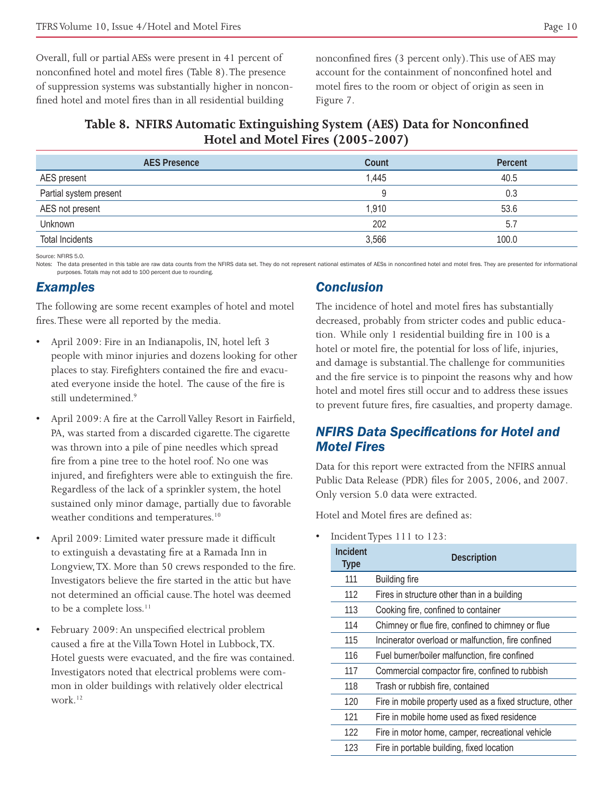Overall, full or partial AESs were present in 41 percent of nonconfined hotel and motel fires (Table 8). The presence of suppression systems was substantially higher in nonconfined hotel and motel fires than in all residential building

nonconfined fires (3 percent only). This use of AES may account for the containment of nonconfined hotel and motel fires to the room or object of origin as seen in Figure 7.

#### **Table 8. NFIRS Automatic Extinguishing System (AES) Data for Nonconfined Hotel and Motel Fires (2005-2007)**

| Count | Percent |
|-------|---------|
| 1,445 | 40.5    |
|       | 0.3     |
| 1,910 | 53.6    |
| 202   | 5.7     |
| 3,566 | 100.0   |
|       |         |

Source: NFIRS 5.0.

Notes: The data presented in this table are raw data counts from the NFIRS data set. They do not represent national estimates of AESs in nonconfined hotel and motel fires. They are presented for informational purposes. Totals may not add to 100 percent due to rounding.

#### *Examples*

The following are some recent examples of hotel and motel fires. These were all reported by the media.

- • April 2009: Fire in an Indianapolis, IN, hotel left 3 people with minor injuries and dozens looking for other places to stay. Firefighters contained the fire and evacuated everyone inside the hotel. The cause of the fire is still undetermined.<sup>9</sup>
- April 2009: A fire at the Carroll Valley Resort in Fairfield, PA, was started from a discarded cigarette. The cigarette was thrown into a pile of pine needles which spread fire from a pine tree to the hotel roof. No one was injured, and firefighters were able to extinguish the fire. Regardless of the lack of a sprinkler system, the hotel sustained only minor damage, partially due to favorable weather conditions and temperatures.<sup>10</sup>
- April 2009: Limited water pressure made it difficult to extinguish a devastating fire at a Ramada Inn in Longview, TX. More than 50 crews responded to the fire. Investigators believe the fire started in the attic but have not determined an official cause. The hotel was deemed to be a complete loss.<sup>11</sup>
- February 2009: An unspecified electrical problem caused a fire at the Villa Town Hotel in Lubbock, TX. Hotel guests were evacuated, and the fire was contained. Investigators noted that electrical problems were common in older buildings with relatively older electrical work.12

# *Conclusion*

The incidence of hotel and motel fires has substantially decreased, probably from stricter codes and public education. While only 1 residential building fire in 100 is a hotel or motel fire, the potential for loss of life, injuries, and damage is substantial. The challenge for communities and the fire service is to pinpoint the reasons why and how hotel and motel fires still occur and to address these issues to prevent future fires, fire casualties, and property damage.

# *NFIRS Data Specifications for Hotel and Motel Fires*

Data for this report were extracted from the NFIRS annual Public Data Release (PDR) files for 2005, 2006, and 2007. Only version 5.0 data were extracted.

Hotel and Motel fires are defined as:

• Incident Types 111 to 123:

| Incident<br><b>Type</b> | <b>Description</b>                                       |
|-------------------------|----------------------------------------------------------|
| 111                     | <b>Building fire</b>                                     |
| 112                     | Fires in structure other than in a building              |
| 113                     | Cooking fire, confined to container                      |
| 114                     | Chimney or flue fire, confined to chimney or flue        |
| 115                     | Incinerator overload or malfunction, fire confined       |
| 116                     | Fuel burner/boiler malfunction, fire confined            |
| 117                     | Commercial compactor fire, confined to rubbish           |
| 118                     | Trash or rubbish fire, contained                         |
| 120                     | Fire in mobile property used as a fixed structure, other |
| 121                     | Fire in mobile home used as fixed residence              |
| 122                     | Fire in motor home, camper, recreational vehicle         |
| 123                     | Fire in portable building, fixed location                |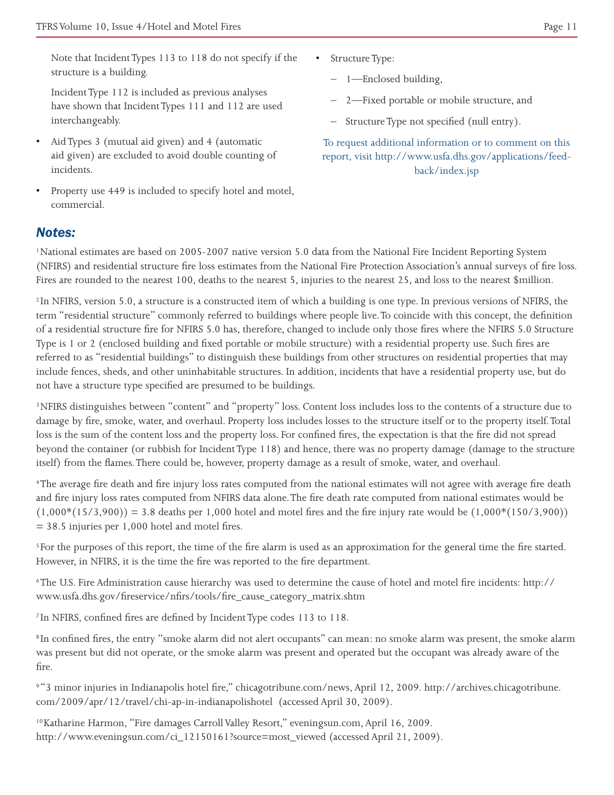Note that Incident Types 113 to 118 do not specify if the structure is a building.

Incident Type 112 is included as previous analyses have shown that Incident Types 111 and 112 are used interchangeably.

- Aid Types 3 (mutual aid given) and 4 (automatic aid given) are excluded to avoid double counting of incidents.
- Property use 449 is included to specify hotel and motel, commercial.
- Structure Type:
	- 1—Enclosed building,
	- 2—Fixed portable or mobile structure, and
	- Structure Type not specified (null entry).

To request additional information or to comment on this report, visit http://www.usfa.dhs.gov/applications/feedback/index.jsp

#### *Notes:*

1National estimates are based on 2005-2007 native version 5.0 data from the National Fire Incident Reporting System (NFIRS) and residential structure fire loss estimates from the National Fire Protection Association's annual surveys of fire loss. Fires are rounded to the nearest 100, deaths to the nearest 5, injuries to the nearest 25, and loss to the nearest \$million.

2In NFIRS, version 5.0, a structure is a constructed item of which a building is one type. In previous versions of NFIRS, the term "residential structure" commonly referred to buildings where people live. To coincide with this concept, the definition of a residential structure fire for NFIRS 5.0 has, therefore, changed to include only those fires where the NFIRS 5.0 Structure Type is 1 or 2 (enclosed building and fixed portable or mobile structure) with a residential property use. Such fires are referred to as "residential buildings" to distinguish these buildings from other structures on residential properties that may include fences, sheds, and other uninhabitable structures. In addition, incidents that have a residential property use, but do not have a structure type specified are presumed to be buildings.

3NFIRS distinguishes between "content" and "property" loss. Content loss includes loss to the contents of a structure due to damage by fire, smoke, water, and overhaul. Property loss includes losses to the structure itself or to the property itself. Total loss is the sum of the content loss and the property loss. For confined fires, the expectation is that the fire did not spread beyond the container (or rubbish for Incident Type 118) and hence, there was no property damage (damage to the structure itself) from the flames. There could be, however, property damage as a result of smoke, water, and overhaul.

4The average fire death and fire injury loss rates computed from the national estimates will not agree with average fire death and fire injury loss rates computed from NFIRS data alone. The fire death rate computed from national estimates would be  $(1,000*(15/3,900)) = 3.8$  deaths per 1,000 hotel and motel fires and the fire injury rate would be  $(1,000*(150/3,900))$ = 38.5 injuries per 1,000 hotel and motel fires.

5For the purposes of this report, the time of the fire alarm is used as an approximation for the general time the fire started. However, in NFIRS, it is the time the fire was reported to the fire department.

6The U.S. Fire Administration cause hierarchy was used to determine the cause of hotel and motel fire incidents: http:// www.usfa.dhs.gov/fireservice/nfirs/tools/fire\_cause\_category\_matrix.shtm

7In NFIRS, confined fires are defined by Incident Type codes 113 to 118.

8In confined fires, the entry "smoke alarm did not alert occupants" can mean: no smoke alarm was present, the smoke alarm was present but did not operate, or the smoke alarm was present and operated but the occupant was already aware of the fire.

9"3 minor injuries in Indianapolis hotel fire," chicagotribune.com/news, April 12, 2009. http://archives.chicagotribune. com/2009/apr/12/travel/chi-ap-in-indianapolishotel (accessed April 30, 2009).

10Katharine Harmon, "Fire damages Carroll Valley Resort," eveningsun.com, April 16, 2009. http://www.eveningsun.com/ci\_12150161?source=most\_viewed (accessed April 21, 2009).